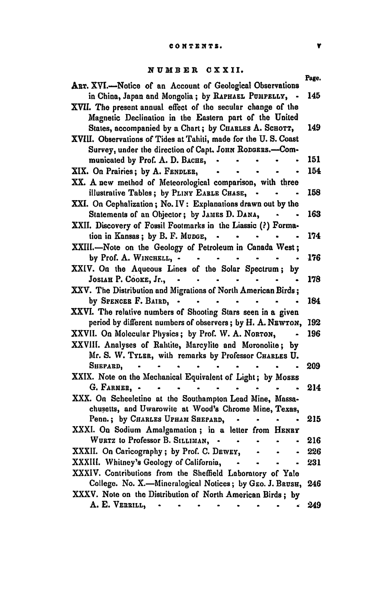## NUMBER CXXII.

| ART. XVI.-Notice of an Account of Geological Observations        | Page. |
|------------------------------------------------------------------|-------|
| in China, Japan and Mongolia; by RAPHAEL PUMPELLY,               | 145   |
| XVII. The present annual effect of the secular change of the     |       |
| Magnetic Declination in the Eastern part of the United           |       |
| States, accompanied by a Chart; by CHARLES A. SCHOTT,            | 149   |
| XVIII. Observations of Tides at Tahiti, made for the U.S. Coast  |       |
| Survey, under the direction of Capt. JOHN RODGERS.-Com-          |       |
| municated by Prof. A. D. BACHE,                                  | 151   |
| XIX. On Prairies; by A. FENDLER,                                 | 154   |
| XX. A new method of Meteorological comparison, with three        |       |
| illustrative Tables; by PLINY EARLE CHASE,                       | 158   |
|                                                                  |       |
| XXI. On Cephalization; No. IV: Explanations drawn out by the     |       |
| Statements of an Objector; by JAMES D. DANA,                     | 163   |
| XXII. Discovery of Fossil Footmarks in the Liassic (?) Forma-    |       |
| tion in Kansas; by B. F. Munge, -<br>$\bullet$                   | 174   |
| XXIII.-Note on the Geology of Petroleum in Canada West;          |       |
| by Prof. A. WINCHELL, -                                          | 176   |
| XXIV. On the Aqueous Lines of the Solar Spectrum;<br>by          |       |
| JOSIAH P. COOKE, Jr.,<br>$\blacksquare$                          | 178   |
| XXV. The Distribution and Migrations of North American Birds;    |       |
| by SPENCER F. BAIRD, .<br>$\sim 100$                             | 184   |
| XXVI. The relative numbers of Shooting Stars seen in a given     |       |
| period by different numbers of observers; by H. A. NEWTON,       | 192   |
| XXVII. On Molecular Physics; by Prof. W. A. NORTON,              | 196   |
| XXVIII. Analyses of Rahtite, Marcylite and Moronolite; by        |       |
| Mr. S. W. TYLER, with remarks by Professor CHARLES U.            |       |
| Shepard,                                                         | 209   |
| XXIX. Note on the Mechanical Equivalent of Light; by Moses       |       |
| G. FARMER, -<br>$\bullet$                                        | 214   |
| XXX. On Scheeletine at the Southampton Lead Mine, Massa-         |       |
| chusetts, and Uwarowite at Wood's Chrome Mine, Texas,            |       |
| Penn.; by CHARLES UPHAN SHEPARD,                                 | 215   |
| XXXI. On Sodium Amalgamation; in a letter from HENRY             |       |
| WURTZ to Professor B. SILLIMAN, .<br>$\bullet$                   | 216   |
| XXXII. On Caricography; by Prof. C. DEWEY,                       | 226   |
| XXXIII. Whitney's Geology of California,<br>$\ddot{\phantom{a}}$ | 231   |
| XXXIV. Contributions from the Sheffield Laboratory of Yale       |       |
| College. No. X.-Mineralogical Notices; by GEO. J. BRUSH,         | 246   |
| XXXV. Note on the Distribution of North American Birds; by       |       |
| A. E. VERRILL,                                                   | 249   |
|                                                                  |       |